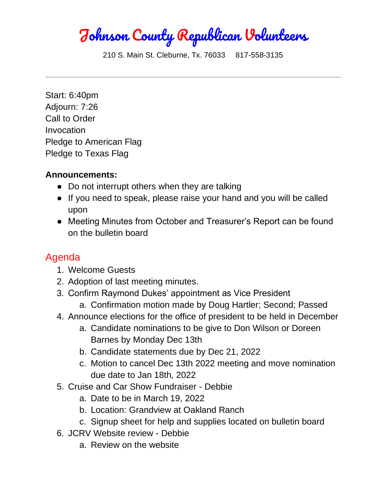Johnson County Republican Volunteers

210 S. Main St. Cleburne, Tx. 76033 817-558-3135

Start: 6:40pm Adjourn: 7:26 Call to Order Invocation Pledge to American Flag Pledge to Texas Flag

## **Announcements:**

- Do not interrupt others when they are talking
- If you need to speak, please raise your hand and you will be called upon
- Meeting Minutes from October and Treasurer's Report can be found on the bulletin board

## Agenda

- 1. Welcome Guests
- 2. Adoption of last meeting minutes.
- 3. Confirm Raymond Dukes' appointment as Vice President
	- a. Confirmation motion made by Doug Hartler; Second; Passed
- 4. Announce elections for the office of president to be held in December
	- a. Candidate nominations to be give to Don Wilson or Doreen Barnes by Monday Dec 13th
	- b. Candidate statements due by Dec 21, 2022
	- c. Motion to cancel Dec 13th 2022 meeting and move nomination due date to Jan 18th, 2022
- 5. Cruise and Car Show Fundraiser Debbie
	- a. Date to be in March 19, 2022
	- b. Location: Grandview at Oakland Ranch
	- c. Signup sheet for help and supplies located on bulletin board
- 6. JCRV Website review Debbie
	- a. Review on the website